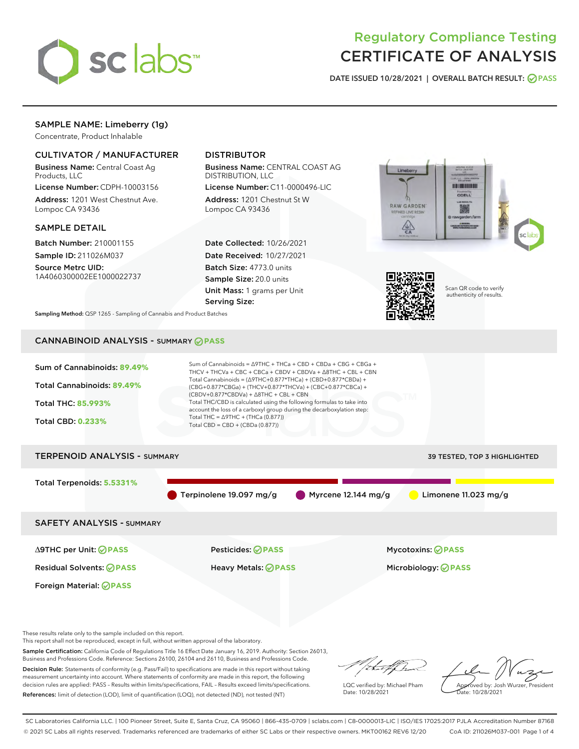

# Regulatory Compliance Testing CERTIFICATE OF ANALYSIS

DATE ISSUED 10/28/2021 | OVERALL BATCH RESULT: @ PASS

## SAMPLE NAME: Limeberry (1g)

Concentrate, Product Inhalable

## CULTIVATOR / MANUFACTURER

Business Name: Central Coast Ag Products, LLC

License Number: CDPH-10003156 Address: 1201 West Chestnut Ave. Lompoc CA 93436

### SAMPLE DETAIL

Batch Number: 210001155 Sample ID: 211026M037

Source Metrc UID: 1A4060300002EE1000022737

## DISTRIBUTOR

Business Name: CENTRAL COAST AG DISTRIBUTION, LLC

License Number: C11-0000496-LIC Address: 1201 Chestnut St W Lompoc CA 93436

Date Collected: 10/26/2021 Date Received: 10/27/2021 Batch Size: 4773.0 units Sample Size: 20.0 units Unit Mass: 1 grams per Unit Serving Size:





Scan QR code to verify authenticity of results.

Sampling Method: QSP 1265 - Sampling of Cannabis and Product Batches

## CANNABINOID ANALYSIS - SUMMARY **PASS**



Sample Certification: California Code of Regulations Title 16 Effect Date January 16, 2019. Authority: Section 26013, Business and Professions Code. Reference: Sections 26100, 26104 and 26110, Business and Professions Code. Decision Rule: Statements of conformity (e.g. Pass/Fail) to specifications are made in this report without taking

measurement uncertainty into account. Where statements of conformity are made in this report, the following decision rules are applied: PASS – Results within limits/specifications, FAIL – Results exceed limits/specifications. References: limit of detection (LOD), limit of quantification (LOQ), not detected (ND), not tested (NT)

that f(ha

LQC verified by: Michael Pham Date: 10/28/2021

Approved by: Josh Wurzer, President Date: 10/28/2021

SC Laboratories California LLC. | 100 Pioneer Street, Suite E, Santa Cruz, CA 95060 | 866-435-0709 | sclabs.com | C8-0000013-LIC | ISO/IES 17025:2017 PJLA Accreditation Number 87168 © 2021 SC Labs all rights reserved. Trademarks referenced are trademarks of either SC Labs or their respective owners. MKT00162 REV6 12/20 CoA ID: 211026M037-001 Page 1 of 4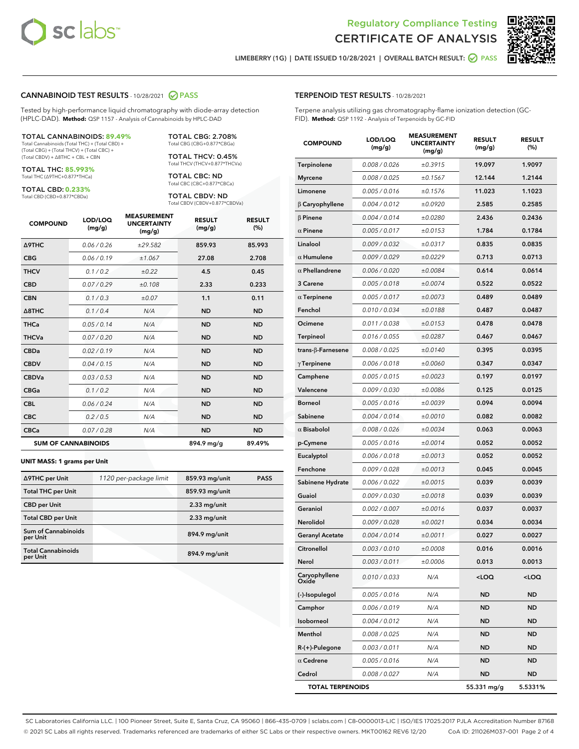



LIMEBERRY (1G) | DATE ISSUED 10/28/2021 | OVERALL BATCH RESULT: 0 PASS

#### CANNABINOID TEST RESULTS - 10/28/2021 2 PASS

Tested by high-performance liquid chromatography with diode-array detection (HPLC-DAD). **Method:** QSP 1157 - Analysis of Cannabinoids by HPLC-DAD

#### TOTAL CANNABINOIDS: **89.49%**

Total Cannabinoids (Total THC) + (Total CBD) + (Total CBG) + (Total THCV) + (Total CBC) + (Total CBDV) + ∆8THC + CBL + CBN

TOTAL THC: **85.993%** Total THC (∆9THC+0.877\*THCa)

TOTAL CBD: **0.233%**

Total CBD (CBD+0.877\*CBDa)

TOTAL CBG: 2.708% Total CBG (CBG+0.877\*CBGa)

TOTAL THCV: 0.45% Total THCV (THCV+0.877\*THCVa)

TOTAL CBC: ND Total CBC (CBC+0.877\*CBCa)

TOTAL CBDV: ND Total CBDV (CBDV+0.877\*CBDVa)

| <b>COMPOUND</b>            | LOD/LOQ<br>(mg/g) | <b>MEASUREMENT</b><br><b>UNCERTAINTY</b><br>(mg/g) | <b>RESULT</b><br>(mg/g) | <b>RESULT</b><br>(%) |
|----------------------------|-------------------|----------------------------------------------------|-------------------------|----------------------|
| Δ9THC                      | 0.06 / 0.26       | ±29.582                                            | 859.93                  | 85.993               |
| <b>CBG</b>                 | 0.06 / 0.19       | ±1.067                                             | 27.08                   | 2.708                |
| <b>THCV</b>                | 0.1/0.2           | ±0.22                                              | 4.5                     | 0.45                 |
| <b>CBD</b>                 | 0.07/0.29         | ±0.108                                             | 2.33                    | 0.233                |
| <b>CBN</b>                 | 0.1 / 0.3         | ±0.07                                              | 1.1                     | 0.11                 |
| $\triangle$ 8THC           | 0.1 / 0.4         | N/A                                                | <b>ND</b>               | <b>ND</b>            |
| <b>THCa</b>                | 0.05/0.14         | N/A                                                | <b>ND</b>               | <b>ND</b>            |
| <b>THCVa</b>               | 0.07/0.20         | N/A                                                | <b>ND</b>               | <b>ND</b>            |
| <b>CBDa</b>                | 0.02/0.19         | N/A                                                | <b>ND</b>               | <b>ND</b>            |
| <b>CBDV</b>                | 0.04 / 0.15       | N/A                                                | <b>ND</b>               | <b>ND</b>            |
| <b>CBDVa</b>               | 0.03/0.53         | N/A                                                | <b>ND</b>               | <b>ND</b>            |
| <b>CBGa</b>                | 0.1/0.2           | N/A                                                | <b>ND</b>               | <b>ND</b>            |
| <b>CBL</b>                 | 0.06 / 0.24       | N/A                                                | <b>ND</b>               | <b>ND</b>            |
| <b>CBC</b>                 | 0.2 / 0.5         | N/A                                                | <b>ND</b>               | <b>ND</b>            |
| <b>CBCa</b>                | 0.07/0.28         | N/A                                                | <b>ND</b>               | <b>ND</b>            |
| <b>SUM OF CANNABINOIDS</b> |                   |                                                    | 894.9 mg/g              | 89.49%               |

#### **UNIT MASS: 1 grams per Unit**

| ∆9THC per Unit                         | 1120 per-package limit | 859.93 mg/unit | <b>PASS</b> |
|----------------------------------------|------------------------|----------------|-------------|
| <b>Total THC per Unit</b>              |                        | 859.93 mg/unit |             |
| <b>CBD per Unit</b>                    |                        | $2.33$ mg/unit |             |
| <b>Total CBD per Unit</b>              |                        | $2.33$ mg/unit |             |
| <b>Sum of Cannabinoids</b><br>per Unit |                        | 894.9 mg/unit  |             |
| <b>Total Cannabinoids</b><br>per Unit  |                        | 894.9 mg/unit  |             |

#### TERPENOID TEST RESULTS - 10/28/2021

Terpene analysis utilizing gas chromatography-flame ionization detection (GC-FID). **Method:** QSP 1192 - Analysis of Terpenoids by GC-FID

| <b>COMPOUND</b>         | LOD/LOQ<br>(mg/g)    | <b>MEASUREMENT</b><br><b>UNCERTAINTY</b><br>(mg/g) | <b>RESULT</b><br>(mg/g)                         | <b>RESULT</b><br>(%) |
|-------------------------|----------------------|----------------------------------------------------|-------------------------------------------------|----------------------|
| Terpinolene             | 0.008 / 0.026        | ±0.3915                                            | 19.097                                          | 1.9097               |
| <b>Myrcene</b>          | 0.008 / 0.025        | ±0.1567                                            | 12.144                                          | 1.2144               |
| Limonene                | 0.005 / 0.016        | ±0.1576                                            | 11.023                                          | 1.1023               |
| $\beta$ Caryophyllene   | 0.004 / 0.012        | ±0.0920                                            | 2.585                                           | 0.2585               |
| $\beta$ Pinene          | 0.004 / 0.014        | ±0.0280                                            | 2.436                                           | 0.2436               |
| $\alpha$ Pinene         | 0.005 / 0.017        | ±0.0153                                            | 1.784                                           | 0.1784               |
| Linalool                | 0.009 / 0.032        | ±0.0317                                            | 0.835                                           | 0.0835               |
| $\alpha$ Humulene       | 0.009 / 0.029        | ±0.0229                                            | 0.713                                           | 0.0713               |
| $\alpha$ Phellandrene   | <i>0.006 / 0.020</i> | ±0.0084                                            | 0.614                                           | 0.0614               |
| 3 Carene                | 0.005 / 0.018        | ±0.0074                                            | 0.522                                           | 0.0522               |
| $\alpha$ Terpinene      | 0.005 / 0.017        | ±0.0073                                            | 0.489                                           | 0.0489               |
| Fenchol                 | 0.010 / 0.034        | ±0.0188                                            | 0.487                                           | 0.0487               |
| Ocimene                 | 0.011 / 0.038        | ±0.0153                                            | 0.478                                           | 0.0478               |
| Terpineol               | 0.016 / 0.055        | ±0.0287                                            | 0.467                                           | 0.0467               |
| trans-β-Farnesene       | 0.008 / 0.025        | ±0.0140                                            | 0.395                                           | 0.0395               |
| $\gamma$ Terpinene      | 0.006 / 0.018        | ±0.0060                                            | 0.347                                           | 0.0347               |
| Camphene                | 0.005 / 0.015        | ±0.0023                                            | 0.197                                           | 0.0197               |
| Valencene               | 0.009 / 0.030        | ±0.0086                                            | 0.125                                           | 0.0125               |
| <b>Borneol</b>          | 0.005 / 0.016        | ±0.0039                                            | 0.094                                           | 0.0094               |
| Sabinene                | 0.004 / 0.014        | ±0.0010                                            | 0.082                                           | 0.0082               |
| $\alpha$ Bisabolol      | 0.008 / 0.026        | ±0.0034                                            | 0.063                                           | 0.0063               |
| p-Cymene                | 0.005 / 0.016        | ±0.0014                                            | 0.052                                           | 0.0052               |
| Eucalyptol              | 0.006 / 0.018        | ±0.0013                                            | 0.052                                           | 0.0052               |
| Fenchone                | 0.009 / 0.028        | ±0.0013                                            | 0.045                                           | 0.0045               |
| Sabinene Hydrate        | 0.006 / 0.022        | ±0.0015                                            | 0.039                                           | 0.0039               |
| Guaiol                  | 0.009 / 0.030        | ±0.0018                                            | 0.039                                           | 0.0039               |
| Geraniol                | 0.002 / 0.007        | ±0.0016                                            | 0.037                                           | 0.0037               |
| Nerolidol               | 0.009 / 0.028        | ±0.0021                                            | 0.034                                           | 0.0034               |
| <b>Geranyl Acetate</b>  | 0.004 / 0.014        | ±0.0011                                            | 0.027                                           | 0.0027               |
| Citronellol             | 0.003 / 0.010        | ±0.0008                                            | 0.016                                           | 0.0016               |
| Nerol                   | 0.003 / 0.011        | ±0.0006                                            | 0.013                                           | 0.0013               |
| Caryophyllene<br>Oxide  | 0.010 / 0.033        | N/A                                                | <loq< th=""><th><loq< th=""></loq<></th></loq<> | <loq< th=""></loq<>  |
| (-)-Isopulegol          | 0.005 / 0.016        | N/A                                                | ND                                              | ND                   |
| Camphor                 | 0.006 / 0.019        | N/A                                                | ND                                              | ND                   |
| Isoborneol              | 0.004 / 0.012        | N/A                                                | <b>ND</b>                                       | ND                   |
| Menthol                 | 0.008 / 0.025        | N/A                                                | ND                                              | ND                   |
| R-(+)-Pulegone          | 0.003 / 0.011        | N/A                                                | ND                                              | ND                   |
| $\alpha$ Cedrene        | 0.005 / 0.016        | N/A                                                | <b>ND</b>                                       | ND                   |
| Cedrol                  | 0.008 / 0.027        | N/A                                                | ND                                              | ND                   |
| <b>TOTAL TERPENOIDS</b> |                      |                                                    | 55.331 mg/g                                     | 5.5331%              |

SC Laboratories California LLC. | 100 Pioneer Street, Suite E, Santa Cruz, CA 95060 | 866-435-0709 | sclabs.com | C8-0000013-LIC | ISO/IES 17025:2017 PJLA Accreditation Number 87168 © 2021 SC Labs all rights reserved. Trademarks referenced are trademarks of either SC Labs or their respective owners. MKT00162 REV6 12/20 CoA ID: 211026M037-001 Page 2 of 4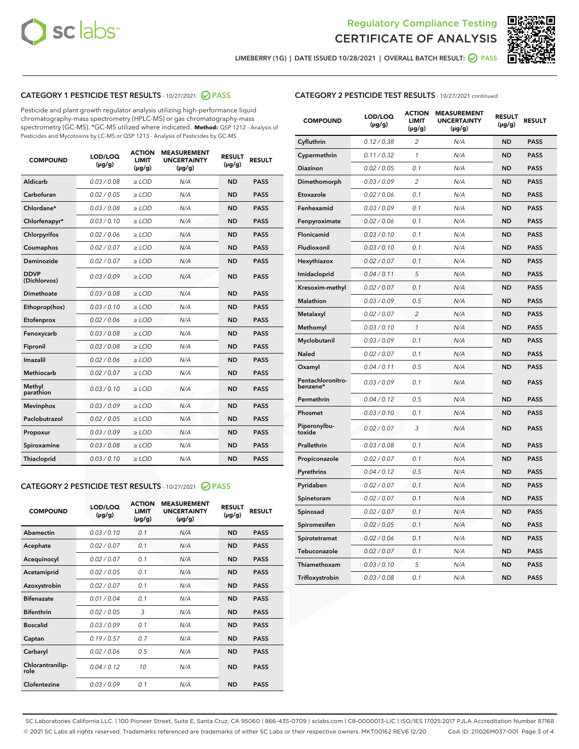



LIMEBERRY (1G) | DATE ISSUED 10/28/2021 | OVERALL BATCH RESULT: O PASS

## CATEGORY 1 PESTICIDE TEST RESULTS - 10/27/2021 2 PASS

Pesticide and plant growth regulator analysis utilizing high-performance liquid chromatography-mass spectrometry (HPLC-MS) or gas chromatography-mass spectrometry (GC-MS). \*GC-MS utilized where indicated. **Method:** QSP 1212 - Analysis of Pesticides and Mycotoxins by LC-MS or QSP 1213 - Analysis of Pesticides by GC-MS

| <b>COMPOUND</b>             | LOD/LOQ<br>$(\mu g/g)$ | <b>ACTION</b><br><b>LIMIT</b><br>$(\mu g/g)$ | <b>MEASUREMENT</b><br><b>UNCERTAINTY</b><br>$(\mu g/g)$ | <b>RESULT</b><br>$(\mu g/g)$ | <b>RESULT</b> |
|-----------------------------|------------------------|----------------------------------------------|---------------------------------------------------------|------------------------------|---------------|
| Aldicarb                    | 0.03/0.08              | $>$ LOD                                      | N/A                                                     | <b>ND</b>                    | <b>PASS</b>   |
| Carbofuran                  | 0.02 / 0.05            | $\ge$ LOD                                    | N/A                                                     | <b>ND</b>                    | <b>PASS</b>   |
| Chlordane*                  | 0.03/0.08              | $>$ LOD                                      | N/A                                                     | <b>ND</b>                    | <b>PASS</b>   |
| Chlorfenapyr*               | 0.03/0.10              | $\ge$ LOD                                    | N/A                                                     | <b>ND</b>                    | <b>PASS</b>   |
| Chlorpyrifos                | 0.02 / 0.06            | $\ge$ LOD                                    | N/A                                                     | <b>ND</b>                    | <b>PASS</b>   |
| Coumaphos                   | 0.02 / 0.07            | $\ge$ LOD                                    | N/A                                                     | <b>ND</b>                    | <b>PASS</b>   |
| Daminozide                  | 0.02 / 0.07            | $\ge$ LOD                                    | N/A                                                     | <b>ND</b>                    | <b>PASS</b>   |
| <b>DDVP</b><br>(Dichlorvos) | 0.03/0.09              | $\ge$ LOD                                    | N/A                                                     | <b>ND</b>                    | <b>PASS</b>   |
| <b>Dimethoate</b>           | 0.03/0.08              | $\ge$ LOD                                    | N/A                                                     | <b>ND</b>                    | <b>PASS</b>   |
| Ethoprop(hos)               | 0.03/0.10              | $\ge$ LOD                                    | N/A                                                     | <b>ND</b>                    | <b>PASS</b>   |
| Etofenprox                  | 0.02 / 0.06            | $\ge$ LOD                                    | N/A                                                     | <b>ND</b>                    | <b>PASS</b>   |
| Fenoxycarb                  | 0.03/0.08              | $\ge$ LOD                                    | N/A                                                     | <b>ND</b>                    | <b>PASS</b>   |
| Fipronil                    | 0.03/0.08              | $>$ LOD                                      | N/A                                                     | <b>ND</b>                    | <b>PASS</b>   |
| Imazalil                    | 0.02 / 0.06            | $>$ LOD                                      | N/A                                                     | <b>ND</b>                    | <b>PASS</b>   |
| Methiocarb                  | 0.02 / 0.07            | $\ge$ LOD                                    | N/A                                                     | <b>ND</b>                    | <b>PASS</b>   |
| Methyl<br>parathion         | 0.03/0.10              | $\ge$ LOD                                    | N/A                                                     | <b>ND</b>                    | <b>PASS</b>   |
| <b>Mevinphos</b>            | 0.03/0.09              | $\ge$ LOD                                    | N/A                                                     | <b>ND</b>                    | <b>PASS</b>   |
| Paclobutrazol               | 0.02 / 0.05            | $>$ LOD                                      | N/A                                                     | <b>ND</b>                    | <b>PASS</b>   |
| Propoxur                    | 0.03/0.09              | $\ge$ LOD                                    | N/A                                                     | <b>ND</b>                    | <b>PASS</b>   |
| Spiroxamine                 | 0.03/0.08              | $\ge$ LOD                                    | N/A                                                     | <b>ND</b>                    | <b>PASS</b>   |
| Thiacloprid                 | 0.03/0.10              | $\ge$ LOD                                    | N/A                                                     | <b>ND</b>                    | <b>PASS</b>   |

#### CATEGORY 2 PESTICIDE TEST RESULTS - 10/27/2021 @ PASS

| <b>COMPOUND</b>          | LOD/LOQ<br>$(\mu g/g)$ | <b>ACTION</b><br>LIMIT<br>$(\mu g/g)$ | <b>MEASUREMENT</b><br><b>UNCERTAINTY</b><br>$(\mu g/g)$ | <b>RESULT</b><br>$(\mu g/g)$ | <b>RESULT</b> |  |
|--------------------------|------------------------|---------------------------------------|---------------------------------------------------------|------------------------------|---------------|--|
| Abamectin                | 0.03/0.10              | 0.1                                   | N/A                                                     | <b>ND</b>                    | <b>PASS</b>   |  |
| Acephate                 | 0.02/0.07              | 0.1                                   | N/A                                                     | <b>ND</b>                    | <b>PASS</b>   |  |
| Acequinocyl              | 0.02/0.07              | 0.1                                   | N/A                                                     | <b>ND</b>                    | <b>PASS</b>   |  |
| Acetamiprid              | 0.02 / 0.05            | 0.1                                   | N/A                                                     | <b>ND</b>                    | <b>PASS</b>   |  |
| Azoxystrobin             | 0.02/0.07              | 0.1                                   | N/A                                                     | <b>ND</b>                    | <b>PASS</b>   |  |
| <b>Bifenazate</b>        | 0.01 / 0.04            | 0.1                                   | N/A                                                     | <b>ND</b>                    | <b>PASS</b>   |  |
| <b>Bifenthrin</b>        | 0 02 / 0 05            | 3                                     | N/A                                                     | <b>ND</b>                    | <b>PASS</b>   |  |
| <b>Boscalid</b>          | 0.03/0.09              | 0.1                                   | N/A                                                     | <b>ND</b>                    | <b>PASS</b>   |  |
| Captan                   | 0.19/0.57              | 0.7                                   | N/A                                                     | <b>ND</b>                    | <b>PASS</b>   |  |
| Carbaryl                 | 0.02/0.06              | 0.5                                   | N/A                                                     | <b>ND</b>                    | <b>PASS</b>   |  |
| Chlorantranilip-<br>role | 0.04/0.12              | 10                                    | N/A                                                     | <b>ND</b>                    | <b>PASS</b>   |  |
| Clofentezine             | 0.03/0.09              | 0.1                                   | N/A                                                     | <b>ND</b>                    | <b>PASS</b>   |  |

## CATEGORY 2 PESTICIDE TEST RESULTS - 10/27/2021 continued

| <b>COMPOUND</b>               | LOD/LOQ<br>$(\mu g/g)$ | <b>ACTION</b><br>LIMIT<br>$(\mu g/g)$ | <b>MEASUREMENT</b><br><b>UNCERTAINTY</b><br>$(\mu g/g)$ | <b>RESULT</b><br>(µg/g) | <b>RESULT</b> |
|-------------------------------|------------------------|---------------------------------------|---------------------------------------------------------|-------------------------|---------------|
| Cyfluthrin                    | 0.12 / 0.38            | 2                                     | N/A                                                     | <b>ND</b>               | <b>PASS</b>   |
| Cypermethrin                  | 0.11 / 0.32            | 1                                     | N/A                                                     | <b>ND</b>               | PASS          |
| Diazinon                      | 0.02 / 0.05            | 0.1                                   | N/A                                                     | ND                      | PASS          |
| Dimethomorph                  | 0.03 / 0.09            | 2                                     | N/A                                                     | ND                      | <b>PASS</b>   |
| Etoxazole                     | 0.02 / 0.06            | 0.1                                   | N/A                                                     | ND                      | PASS          |
| Fenhexamid                    | 0.03 / 0.09            | 0.1                                   | N/A                                                     | ND                      | <b>PASS</b>   |
| Fenpyroximate                 | 0.02 / 0.06            | 0.1                                   | N/A                                                     | ND                      | <b>PASS</b>   |
| Flonicamid                    | 0.03 / 0.10            | 0.1                                   | N/A                                                     | <b>ND</b>               | <b>PASS</b>   |
| Fludioxonil                   | 0.03 / 0.10            | 0.1                                   | N/A                                                     | ND                      | <b>PASS</b>   |
| Hexythiazox                   | 0.02 / 0.07            | 0.1                                   | N/A                                                     | <b>ND</b>               | PASS          |
| Imidacloprid                  | 0.04 / 0.11            | 5                                     | N/A                                                     | <b>ND</b>               | <b>PASS</b>   |
| Kresoxim-methyl               | 0.02 / 0.07            | 0.1                                   | N/A                                                     | <b>ND</b>               | <b>PASS</b>   |
| <b>Malathion</b>              | 0.03 / 0.09            | 0.5                                   | N/A                                                     | ND                      | <b>PASS</b>   |
| Metalaxyl                     | 0.02 / 0.07            | $\overline{c}$                        | N/A                                                     | <b>ND</b>               | <b>PASS</b>   |
| Methomyl                      | 0.03 / 0.10            | $\mathcal{I}$                         | N/A                                                     | ND                      | PASS          |
| Myclobutanil                  | 0.03 / 0.09            | 0.1                                   | N/A                                                     | <b>ND</b>               | <b>PASS</b>   |
| Naled                         | 0.02 / 0.07            | 0.1                                   | N/A                                                     | ND                      | <b>PASS</b>   |
| Oxamyl                        | 0.04 / 0.11            | 0.5                                   | N/A                                                     | ND                      | PASS          |
| Pentachloronitro-<br>benzene* | 0.03 / 0.09            | 0.1                                   | N/A                                                     | ND                      | PASS          |
| Permethrin                    | 0.04 / 0.12            | 0.5                                   | N/A                                                     | <b>ND</b>               | <b>PASS</b>   |
| Phosmet                       | 0.03 / 0.10            | 0.1                                   | N/A                                                     | ND                      | PASS          |
| Piperonylbu-<br>toxide        | 0.02 / 0.07            | 3                                     | N/A                                                     | ND                      | <b>PASS</b>   |
| Prallethrin                   | 0.03 / 0.08            | 0.1                                   | N/A                                                     | <b>ND</b>               | <b>PASS</b>   |
| Propiconazole                 | 0.02 / 0.07            | 0.1                                   | N/A                                                     | ND                      | PASS          |
| Pyrethrins                    | 0.04 / 0.12            | 0.5                                   | N/A                                                     | ND                      | <b>PASS</b>   |
| Pyridaben                     | 0.02 / 0.07            | 0.1                                   | N/A                                                     | <b>ND</b>               | <b>PASS</b>   |
| Spinetoram                    | 0.02 / 0.07            | 0.1                                   | N/A                                                     | ND                      | PASS          |
| Spinosad                      | 0.02 / 0.07            | 0.1                                   | N/A                                                     | <b>ND</b>               | <b>PASS</b>   |
| Spiromesifen                  | 0.02 / 0.05            | 0.1                                   | N/A                                                     | ND                      | <b>PASS</b>   |
| Spirotetramat                 | 0.02 / 0.06            | 0.1                                   | N/A                                                     | ND                      | PASS          |
| Tebuconazole                  | 0.02 / 0.07            | 0.1                                   | N/A                                                     | ND                      | <b>PASS</b>   |
| Thiamethoxam                  | 0.03 / 0.10            | 5                                     | N/A                                                     | ND                      | <b>PASS</b>   |
| Trifloxystrobin               | 0.03 / 0.08            | 0.1                                   | N/A                                                     | <b>ND</b>               | <b>PASS</b>   |

SC Laboratories California LLC. | 100 Pioneer Street, Suite E, Santa Cruz, CA 95060 | 866-435-0709 | sclabs.com | C8-0000013-LIC | ISO/IES 17025:2017 PJLA Accreditation Number 87168 © 2021 SC Labs all rights reserved. Trademarks referenced are trademarks of either SC Labs or their respective owners. MKT00162 REV6 12/20 CoA ID: 211026M037-001 Page 3 of 4